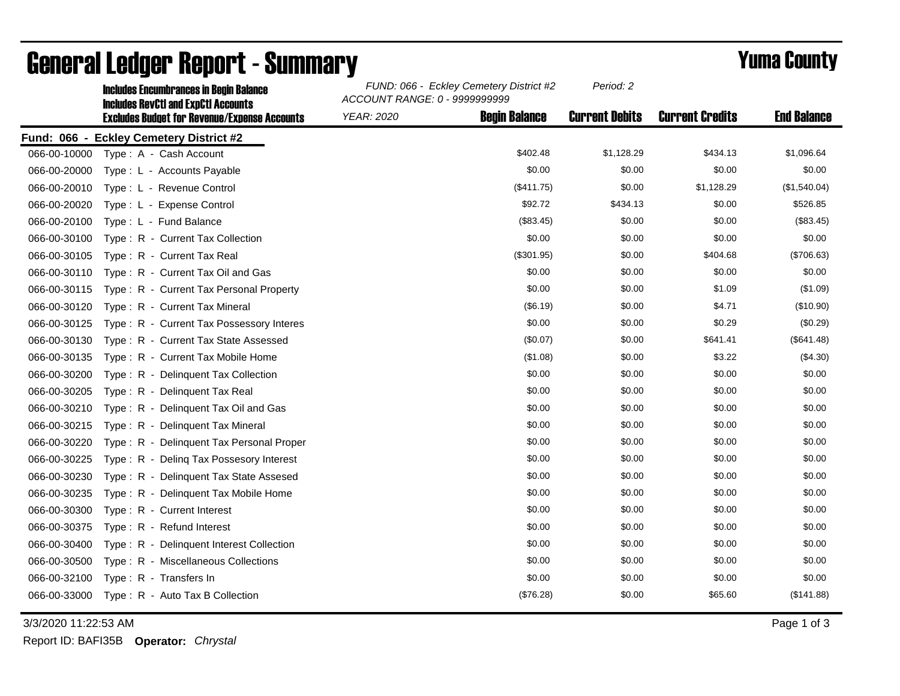|              | <b>Includes Encumbrances in Begin Balance</b><br><b>Includes RevCtI and ExpCtI Accounts</b><br><b>Excludes Budget for Revenue/Expense Accounts</b> | FUND: 066 - Eckley Cemetery District #2<br>ACCOUNT RANGE: 0 - 9999999999 |                      | Period: 2             |                        |                    |
|--------------|----------------------------------------------------------------------------------------------------------------------------------------------------|--------------------------------------------------------------------------|----------------------|-----------------------|------------------------|--------------------|
|              |                                                                                                                                                    | <b>YEAR: 2020</b>                                                        | <b>Begin Balance</b> | <b>Current Debits</b> | <b>Current Credits</b> | <b>End Balance</b> |
|              | Fund: 066 - Eckley Cemetery District #2                                                                                                            |                                                                          |                      |                       |                        |                    |
| 066-00-10000 | Type: A - Cash Account                                                                                                                             |                                                                          | \$402.48             | \$1,128.29            | \$434.13               | \$1,096.64         |
| 066-00-20000 | Type: L - Accounts Payable                                                                                                                         |                                                                          | \$0.00               | \$0.00                | \$0.00                 | \$0.00             |
| 066-00-20010 | Type: L - Revenue Control                                                                                                                          |                                                                          | (\$411.75)           | \$0.00                | \$1,128.29             | (\$1,540.04)       |
| 066-00-20020 | Type: L - Expense Control                                                                                                                          |                                                                          | \$92.72              | \$434.13              | \$0.00                 | \$526.85           |
| 066-00-20100 | Type: L - Fund Balance                                                                                                                             |                                                                          | (\$83.45)            | \$0.00                | \$0.00                 | (\$83.45)          |
| 066-00-30100 | Type: R - Current Tax Collection                                                                                                                   |                                                                          | \$0.00               | \$0.00                | \$0.00                 | \$0.00             |
| 066-00-30105 | Type: R - Current Tax Real                                                                                                                         |                                                                          | (\$301.95)           | \$0.00                | \$404.68               | (\$706.63)         |
| 066-00-30110 | Type: R - Current Tax Oil and Gas                                                                                                                  |                                                                          | \$0.00               | \$0.00                | \$0.00                 | \$0.00             |
| 066-00-30115 | Type: R - Current Tax Personal Property                                                                                                            |                                                                          | \$0.00               | \$0.00                | \$1.09                 | (\$1.09)           |
| 066-00-30120 | Type: R - Current Tax Mineral                                                                                                                      |                                                                          | (\$6.19)             | \$0.00                | \$4.71                 | (\$10.90)          |
| 066-00-30125 | Type: R - Current Tax Possessory Interes                                                                                                           |                                                                          | \$0.00               | \$0.00                | \$0.29                 | (\$0.29)           |
| 066-00-30130 | Type: R - Current Tax State Assessed                                                                                                               |                                                                          | (\$0.07)             | \$0.00                | \$641.41               | (\$641.48)         |
| 066-00-30135 | Type: R - Current Tax Mobile Home                                                                                                                  |                                                                          | (\$1.08)             | \$0.00                | \$3.22                 | (\$4.30)           |
| 066-00-30200 | Type: R - Delinquent Tax Collection                                                                                                                |                                                                          | \$0.00               | \$0.00                | \$0.00                 | \$0.00             |
| 066-00-30205 | Type: R - Delinquent Tax Real                                                                                                                      |                                                                          | \$0.00               | \$0.00                | \$0.00                 | \$0.00             |
| 066-00-30210 | Type: R - Delinquent Tax Oil and Gas                                                                                                               |                                                                          | \$0.00               | \$0.00                | \$0.00                 | \$0.00             |
| 066-00-30215 | Type: R - Delinquent Tax Mineral                                                                                                                   |                                                                          | \$0.00               | \$0.00                | \$0.00                 | \$0.00             |
| 066-00-30220 | Type: R - Delinquent Tax Personal Proper                                                                                                           |                                                                          | \$0.00               | \$0.00                | \$0.00                 | \$0.00             |
| 066-00-30225 | Type: R - Deling Tax Possesory Interest                                                                                                            |                                                                          | \$0.00               | \$0.00                | \$0.00                 | \$0.00             |
| 066-00-30230 | Type: R - Delinquent Tax State Assesed                                                                                                             |                                                                          | \$0.00               | \$0.00                | \$0.00                 | \$0.00             |
| 066-00-30235 | Type: R - Delinquent Tax Mobile Home                                                                                                               |                                                                          | \$0.00               | \$0.00                | \$0.00                 | \$0.00             |
| 066-00-30300 | Type: R - Current Interest                                                                                                                         |                                                                          | \$0.00               | \$0.00                | \$0.00                 | \$0.00             |
| 066-00-30375 | Type: R - Refund Interest                                                                                                                          |                                                                          | \$0.00               | \$0.00                | \$0.00                 | \$0.00             |
| 066-00-30400 | Type: R - Delinquent Interest Collection                                                                                                           |                                                                          | \$0.00               | \$0.00                | \$0.00                 | \$0.00             |
| 066-00-30500 | Type: R - Miscellaneous Collections                                                                                                                |                                                                          | \$0.00               | \$0.00                | \$0.00                 | \$0.00             |
| 066-00-32100 | Type: R - Transfers In                                                                                                                             |                                                                          | \$0.00               | \$0.00                | \$0.00                 | \$0.00             |
| 066-00-33000 | Type: R - Auto Tax B Collection                                                                                                                    |                                                                          | (\$76.28)            | \$0.00                | \$65.60                | (\$141.88)         |

## General Ledger Report - Summary **Example 2018** Yuma County

3/3/2020 11:22:53 AM Page 1 of 3

Report ID: BAFI35B **Operator:** *Chrystal*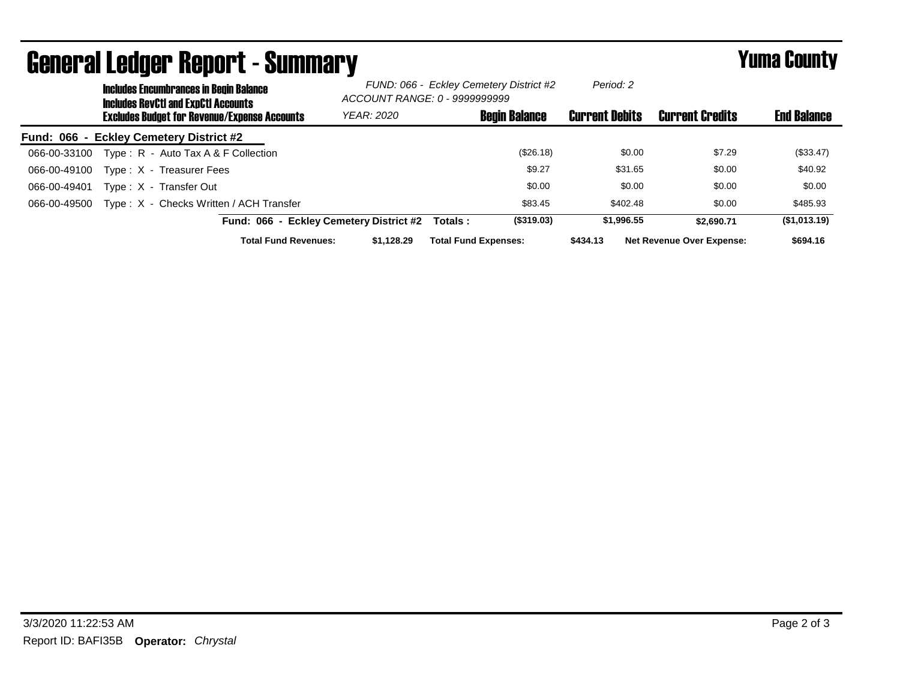| UGIIGI AI LGUYGI  NGUUI L <sup>-</sup> Juinniai Y                                           | I UIIIU VVUIILY                         |                                                                          |                       |                                  |                    |
|---------------------------------------------------------------------------------------------|-----------------------------------------|--------------------------------------------------------------------------|-----------------------|----------------------------------|--------------------|
| <b>Includes Encumbrances in Begin Balance</b><br><b>Includes RevCtI and ExpCtI Accounts</b> |                                         | FUND: 066 - Eckley Cemetery District #2<br>ACCOUNT RANGE: 0 - 9999999999 |                       |                                  |                    |
| <b>Excludes Budget for Revenue/Expense Accounts</b>                                         | <b>YEAR: 2020</b>                       | <b>Begin Balance</b>                                                     | <b>Current Debits</b> | <b>Current Credits</b>           | <b>End Balance</b> |
| Fund: 066 - Eckley Cemetery District #2                                                     |                                         |                                                                          |                       |                                  |                    |
| Type: $R -$ Auto Tax A & F Collection<br>066-00-33100                                       |                                         | (\$26.18)                                                                | \$0.00                | \$7.29                           | (\$33.47)          |
| Type: X - Treasurer Fees<br>066-00-49100                                                    |                                         | \$9.27                                                                   | \$31.65               | \$0.00                           | \$40.92            |
| Type: X - Transfer Out<br>066-00-49401                                                      |                                         | \$0.00                                                                   | \$0.00                | \$0.00                           | \$0.00             |
| Type: X - Checks Written / ACH Transfer<br>066-00-49500                                     |                                         | \$83.45                                                                  | \$402.48              | \$0.00                           | \$485.93           |
|                                                                                             | Fund: 066 - Eckley Cemetery District #2 | (\$319.03)<br>Totals:                                                    | \$1,996.55            | \$2.690.71                       | (\$1,013.19)       |
| <b>Total Fund Revenues:</b>                                                                 | \$1.128.29                              | <b>Total Fund Expenses:</b>                                              | \$434.13              | <b>Net Revenue Over Expense:</b> | \$694.16           |

## General Ledger Report - Summary Yuma County